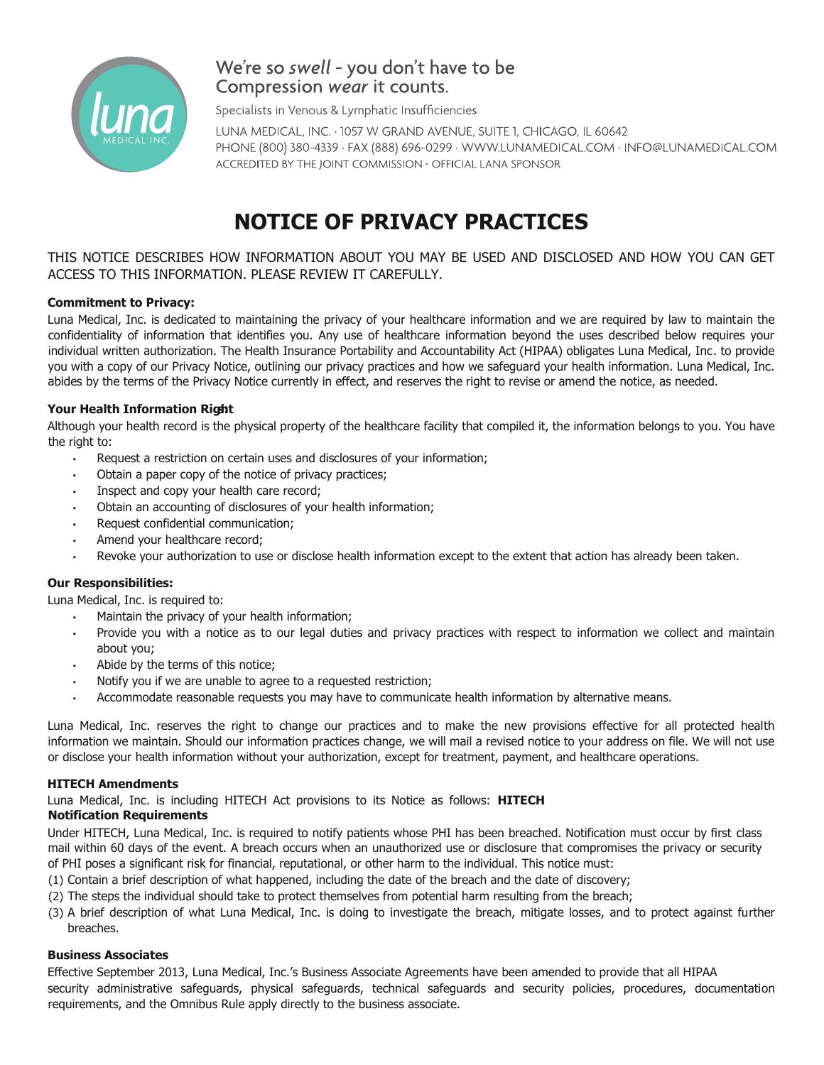

# We're so swell - you don't have to be Compression wear it counts.

Specialists in Venous & Lymphatic Insufficiencies

LUNA MEDICAL, INC. · 1057 W GRAND AVENUE, SUITE 1, CHICAGO, IL 60642 PHONE (800) 380-4339 · FAX (888) 696-0299 · WWW.LUNAMEDICAL.COM · INFO@LUNAMEDICAL.COM ACCREDITED BY THE JOINT COMMISSION . OFFICIAL LANA SPONSOR

# **NOTICE OF PRIVACY PRACTICES**

THIS NOTICE DESCRIBES HOW INFORMATION ABOUT YOU MAY BE USED AND DISCLOSED AND HOW YOU CAN GET ACCESS TO THIS INFORMATION. PLEASE REVIEW IT CAREFULLY.

# **Commitment to Privacy:**

Luna Medical, Inc. is dedicated to maintaining the privacy of your healthcare information and we are required by law to maintain the confidentiality of information that identifies you. Any use of healthcare information beyond the uses described below requires your individual written authorization. The Health Insurance Portability and Accountability Act (HIPAA) obligates Luna Medical, Inc. to provide you with a copy of our Privacy Notice, outlining our privacy practices and how we safeguard your health information. Luna Medical, Inc. abides by the terms of the Privacy Notice currently in effect, and reserves the right to revise or amend the notice, as needed.

# **Your Health Information Rigsh:t**

Although your health record is the physical property of the healthcare facility that compiled it, the information belongs to you. You have the right to:

- Request a restriction on certain uses and disclosures of your information;
- Obtain a paper copy of the notice of privacy practices;
- Inspect and copy your health care record;
- Obtain an accounting of disclosures of your health information;
- Request confidential communication;
- Amend your healthcare record;
- Revoke your authorization to use or disclose health information except to the extent that action has already been taken.

# **Our Responsibilities:**

Luna Medical, Inc. is required to:

- Maintain the privacy of your health information;
- Provide you with a notice as to our legal duties and privacy practices with respect to information we collect and maintain about you;
- Abide by the terms of this notice;
- Notify you if we are unable to agree to a requested restriction;
- Accommodate reasonable requests you may have to communicate health information by alternative means.

Luna Medical, Inc. reserves the right to change our practices and to make the new provisions effective for all protected health information we maintain. Should our information practices change, we will mail a revised notice to your address on file. We will not use or disclose your health information without your authorization, except for treatment, payment, and healthcare operations.

# **HITECH Amendments**

Luna Medical, Inc. is including HITECH Act provisions to its Notice as follows: **HITECH**

# **Notification Requirements**

Under HITECH, Luna Medical, Inc. is required to notify patients whose PHI has been breached. Notification must occur by first class mail within 60 days of the event. A breach occurs when an unauthorized use or disclosure that compromises the privacy or security of PHI poses a significant risk for financial, reputational, or other harm to the individual. This notice must:

- (1) Contain a brief description of what happened, including the date of the breach and the date of discovery;
- (2) The steps the individual should take to protect themselves from potential harm resulting from the breach;
- (3) A brief description of what Luna Medical, Inc. is doing to investigate the breach, mitigate losses, and to protect against further breaches.

# **Business Associates**

Effective September 2013, Luna Medical, Inc.'s Business Associate Agreements have been amended to provide that all HIPAA security administrative safeguards, physical safeguards, technical safeguards and security policies, procedures, documentation requirements, and the Omnibus Rule apply directly to the business associate.